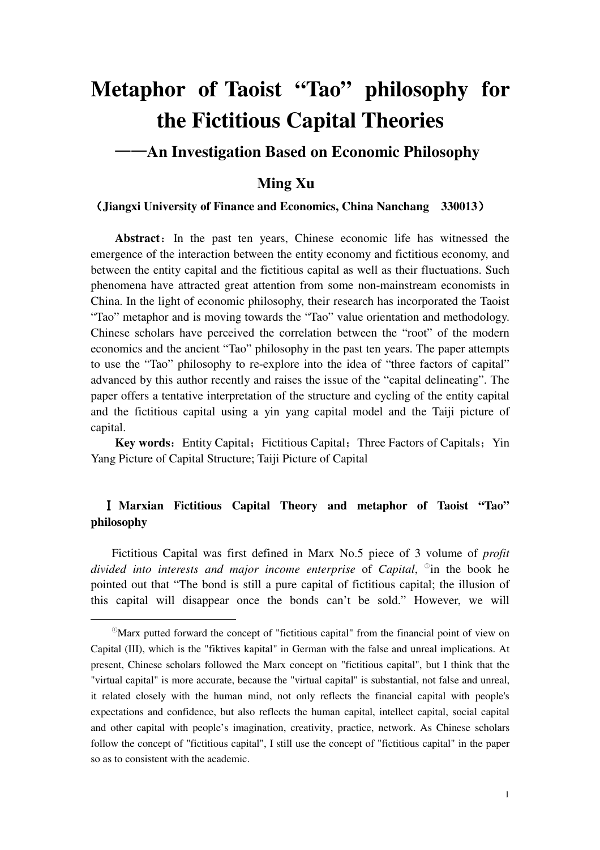# **Metaphor of Taoist "Tao" philosophy for the Fictitious Capital Theories**

## ——**An Investigation Based on Economic Philosophy**

## **Ming Xu**

#### (**Jiangxi University of Finance and Economics, China Nanchang 330013**)

Abstract: In the past ten years, Chinese economic life has witnessed the emergence of the interaction between the entity economy and fictitious economy, and between the entity capital and the fictitious capital as well as their fluctuations. Such phenomena have attracted great attention from some non-mainstream economists in China. In the light of economic philosophy, their research has incorporated the Taoist "Tao" metaphor and is moving towards the "Tao" value orientation and methodology. Chinese scholars have perceived the correlation between the "root" of the modern economics and the ancient "Tao" philosophy in the past ten years. The paper attempts to use the "Tao" philosophy to re-explore into the idea of "three factors of capital" advanced by this author recently and raises the issue of the "capital delineating". The paper offers a tentative interpretation of the structure and cycling of the entity capital and the fictitious capital using a yin yang capital model and the Taiji picture of capital.

Key words: Entity Capital; Fictitious Capital; Three Factors of Capitals; Yin Yang Picture of Capital Structure; Taiji Picture of Capital

### Ⅰ **Marxian Fictitious Capital Theory and metaphor of Taoist "Tao" philosophy**

Fictitious Capital was first defined in Marx No.5 piece of 3 volume of *profit divided into interests and major income enterprise* of *Capital*, ① in the book he pointed out that "The bond is still a pure capital of fictitious capital; the illusion of this capital will disappear once the bonds can't be sold." However, we will

 $\ddot{ }$ 

 $\mathbb{P}_{\text{Marx}}$  putted forward the concept of "fictitious capital" from the financial point of view on Capital (III), which is the "fiktives kapital" in German with the false and unreal implications. At present, Chinese scholars followed the Marx concept on "fictitious capital", but I think that the "virtual capital" is more accurate, because the "virtual capital" is substantial, not false and unreal, it related closely with the human mind, not only reflects the financial capital with people's expectations and confidence, but also reflects the human capital, intellect capital, social capital and other capital with people's imagination, creativity, practice, network. As Chinese scholars follow the concept of "fictitious capital", I still use the concept of "fictitious capital" in the paper so as to consistent with the academic.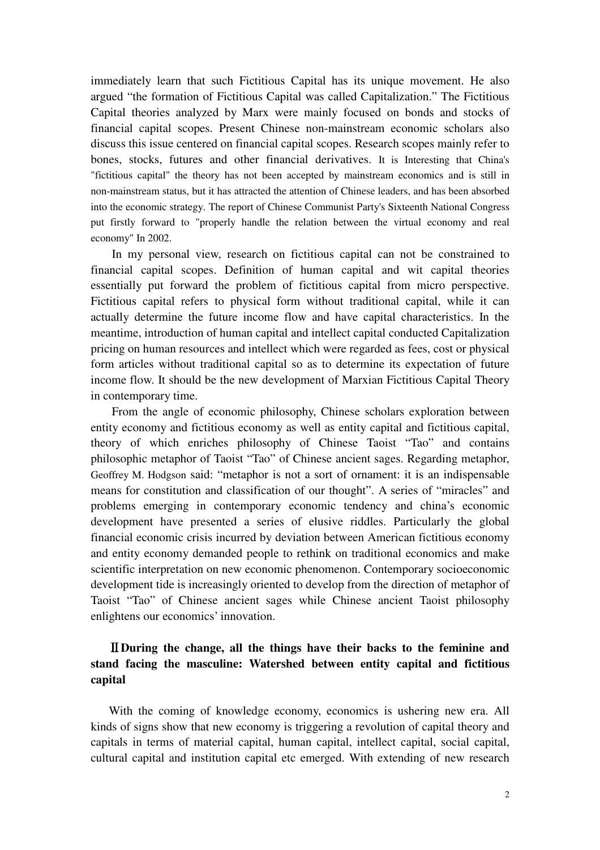immediately learn that such Fictitious Capital has its unique movement. He also argued "the formation of Fictitious Capital was called Capitalization." The Fictitious Capital theories analyzed by Marx were mainly focused on bonds and stocks of financial capital scopes. Present Chinese non-mainstream economic scholars also discuss this issue centered on financial capital scopes. Research scopes mainly refer to bones, stocks, futures and other financial derivatives. It is Interesting that China's "fictitious capital" the theory has not been accepted by mainstream economics and is still in non-mainstream status, but it has attracted the attention of Chinese leaders, and has been absorbed into the economic strategy. The report of Chinese Communist Party's Sixteenth National Congress put firstly forward to "properly handle the relation between the virtual economy and real economy" In 2002.

In my personal view, research on fictitious capital can not be constrained to financial capital scopes. Definition of human capital and wit capital theories essentially put forward the problem of fictitious capital from micro perspective. Fictitious capital refers to physical form without traditional capital, while it can actually determine the future income flow and have capital characteristics. In the meantime, introduction of human capital and intellect capital conducted Capitalization pricing on human resources and intellect which were regarded as fees, cost or physical form articles without traditional capital so as to determine its expectation of future income flow. It should be the new development of Marxian Fictitious Capital Theory in contemporary time.

From the angle of economic philosophy, Chinese scholars exploration between entity economy and fictitious economy as well as entity capital and fictitious capital, theory of which enriches philosophy of Chinese Taoist "Tao" and contains philosophic metaphor of Taoist "Tao" of Chinese ancient sages. Regarding metaphor, Geoffrey M. Hodgson said: "metaphor is not a sort of ornament: it is an indispensable means for constitution and classification of our thought". A series of "miracles" and problems emerging in contemporary economic tendency and china's economic development have presented a series of elusive riddles. Particularly the global financial economic crisis incurred by deviation between American fictitious economy and entity economy demanded people to rethink on traditional economics and make scientific interpretation on new economic phenomenon. Contemporary socioeconomic development tide is increasingly oriented to develop from the direction of metaphor of Taoist "Tao" of Chinese ancient sages while Chinese ancient Taoist philosophy enlightens our economics' innovation.

### Ⅱ**During the change, all the things have their backs to the feminine and stand facing the masculine: Watershed between entity capital and fictitious capital**

 With the coming of knowledge economy, economics is ushering new era. All kinds of signs show that new economy is triggering a revolution of capital theory and capitals in terms of material capital, human capital, intellect capital, social capital, cultural capital and institution capital etc emerged. With extending of new research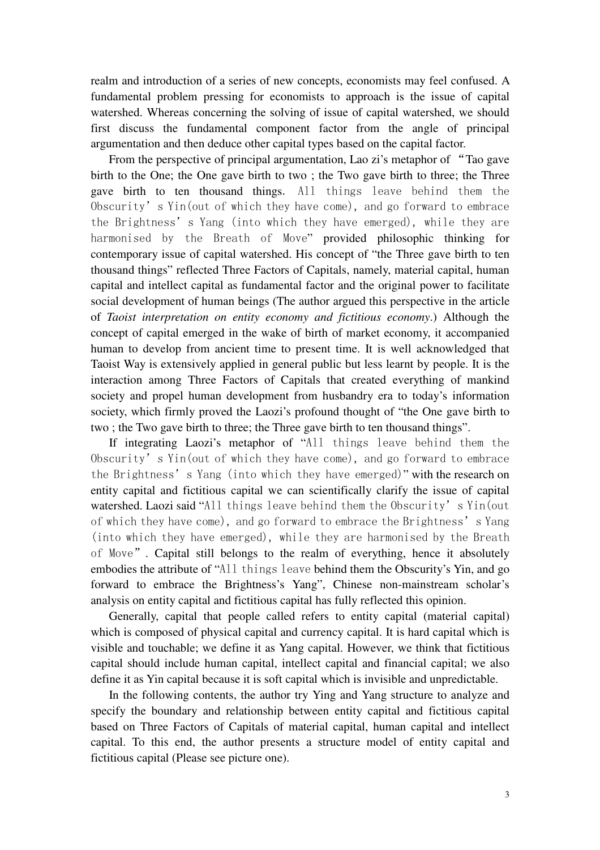realm and introduction of a series of new concepts, economists may feel confused. A fundamental problem pressing for economists to approach is the issue of capital watershed. Whereas concerning the solving of issue of capital watershed, we should first discuss the fundamental component factor from the angle of principal argumentation and then deduce other capital types based on the capital factor.

 From the perspective of principal argumentation, Lao zi's metaphor of "Tao gave birth to the One; the One gave birth to two ; the Two gave birth to three; the Three gave birth to ten thousand things. All things leave behind them the Obscurity's Yin(out of which they have come), and go forward to embrace the Brightness's Yang (into which they have emerged), while they are harmonised by the Breath of Move" provided philosophic thinking for contemporary issue of capital watershed. His concept of "the Three gave birth to ten thousand things" reflected Three Factors of Capitals, namely, material capital, human capital and intellect capital as fundamental factor and the original power to facilitate social development of human beings (The author argued this perspective in the article of *Taoist interpretation on entity economy and fictitious economy*.) Although the concept of capital emerged in the wake of birth of market economy, it accompanied human to develop from ancient time to present time. It is well acknowledged that Taoist Way is extensively applied in general public but less learnt by people. It is the interaction among Three Factors of Capitals that created everything of mankind society and propel human development from husbandry era to today's information society, which firmly proved the Laozi's profound thought of "the One gave birth to two ; the Two gave birth to three; the Three gave birth to ten thousand things".

 If integrating Laozi's metaphor of "All things leave behind them the Obscurity's Yin(out of which they have come), and go forward to embrace the Brightness's Yang (into which they have emerged)" with the research on entity capital and fictitious capital we can scientifically clarify the issue of capital watershed. Laozi said "All things leave behind them the Obscurity's Yin(out of which they have come), and go forward to embrace the Brightness's Yang (into which they have emerged), while they are harmonised by the Breath of Move". Capital still belongs to the realm of everything, hence it absolutely embodies the attribute of "All things leave behind them the Obscurity's Yin, and go forward to embrace the Brightness's Yang", Chinese non-mainstream scholar's analysis on entity capital and fictitious capital has fully reflected this opinion.

 Generally, capital that people called refers to entity capital (material capital) which is composed of physical capital and currency capital. It is hard capital which is visible and touchable; we define it as Yang capital. However, we think that fictitious capital should include human capital, intellect capital and financial capital; we also define it as Yin capital because it is soft capital which is invisible and unpredictable.

 In the following contents, the author try Ying and Yang structure to analyze and specify the boundary and relationship between entity capital and fictitious capital based on Three Factors of Capitals of material capital, human capital and intellect capital. To this end, the author presents a structure model of entity capital and fictitious capital (Please see picture one).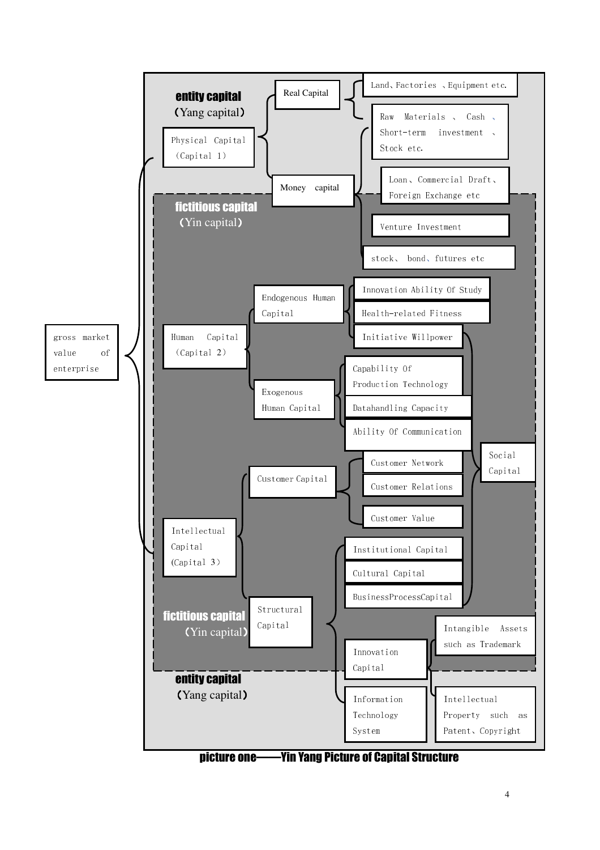

picture one——Yin Yang Picture of Capital Structure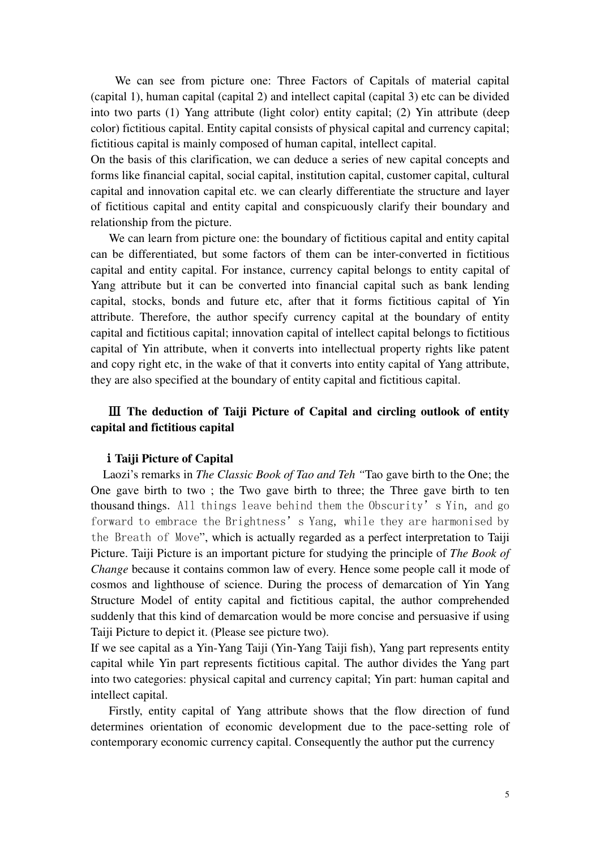We can see from picture one: Three Factors of Capitals of material capital (capital 1), human capital (capital 2) and intellect capital (capital 3) etc can be divided into two parts (1) Yang attribute (light color) entity capital; (2) Yin attribute (deep color) fictitious capital. Entity capital consists of physical capital and currency capital; fictitious capital is mainly composed of human capital, intellect capital.

On the basis of this clarification, we can deduce a series of new capital concepts and forms like financial capital, social capital, institution capital, customer capital, cultural capital and innovation capital etc. we can clearly differentiate the structure and layer of fictitious capital and entity capital and conspicuously clarify their boundary and relationship from the picture.

 We can learn from picture one: the boundary of fictitious capital and entity capital can be differentiated, but some factors of them can be inter-converted in fictitious capital and entity capital. For instance, currency capital belongs to entity capital of Yang attribute but it can be converted into financial capital such as bank lending capital, stocks, bonds and future etc, after that it forms fictitious capital of Yin attribute. Therefore, the author specify currency capital at the boundary of entity capital and fictitious capital; innovation capital of intellect capital belongs to fictitious capital of Yin attribute, when it converts into intellectual property rights like patent and copy right etc, in the wake of that it converts into entity capital of Yang attribute, they are also specified at the boundary of entity capital and fictitious capital.

## Ⅲ **The deduction of Taiji Picture of Capital and circling outlook of entity capital and fictitious capital**

#### ⅰ**Taiji Picture of Capital**

 Laozi's remarks in *The Classic Book of Tao and Teh "*Tao gave birth to the One; the One gave birth to two ; the Two gave birth to three; the Three gave birth to ten thousand things. All things leave behind them the Obscurity's Yin, and go forward to embrace the Brightness's Yang, while they are harmonised by the Breath of Move", which is actually regarded as a perfect interpretation to Taiji Picture. Taiji Picture is an important picture for studying the principle of *The Book of Change* because it contains common law of every. Hence some people call it mode of cosmos and lighthouse of science. During the process of demarcation of Yin Yang Structure Model of entity capital and fictitious capital, the author comprehended suddenly that this kind of demarcation would be more concise and persuasive if using Taiji Picture to depict it. (Please see picture two).

If we see capital as a Yin-Yang Taiji (Yin-Yang Taiji fish), Yang part represents entity capital while Yin part represents fictitious capital. The author divides the Yang part into two categories: physical capital and currency capital; Yin part: human capital and intellect capital.

 Firstly, entity capital of Yang attribute shows that the flow direction of fund determines orientation of economic development due to the pace-setting role of contemporary economic currency capital. Consequently the author put the currency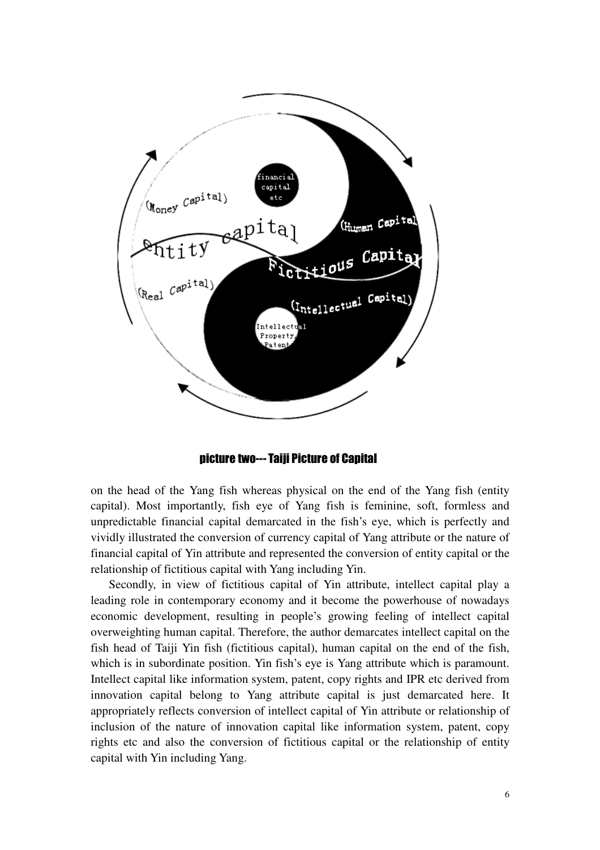

picture two--- Taiji Picture of Capital

on the head of the Yang fish whereas physical on the end of the Yang fish (entity capital). Most importantly, fish eye of Yang fish is feminine, soft, formless and unpredictable financial capital demarcated in the fish's eye, which is perfectly and vividly illustrated the conversion of currency capital of Yang attribute or the nature of financial capital of Yin attribute and represented the conversion of entity capital or the relationship of fictitious capital with Yang including Yin.

 Secondly, in view of fictitious capital of Yin attribute, intellect capital play a leading role in contemporary economy and it become the powerhouse of nowadays economic development, resulting in people's growing feeling of intellect capital overweighting human capital. Therefore, the author demarcates intellect capital on the fish head of Taiji Yin fish (fictitious capital), human capital on the end of the fish, which is in subordinate position. Yin fish's eye is Yang attribute which is paramount. Intellect capital like information system, patent, copy rights and IPR etc derived from innovation capital belong to Yang attribute capital is just demarcated here. It appropriately reflects conversion of intellect capital of Yin attribute or relationship of inclusion of the nature of innovation capital like information system, patent, copy rights etc and also the conversion of fictitious capital or the relationship of entity capital with Yin including Yang.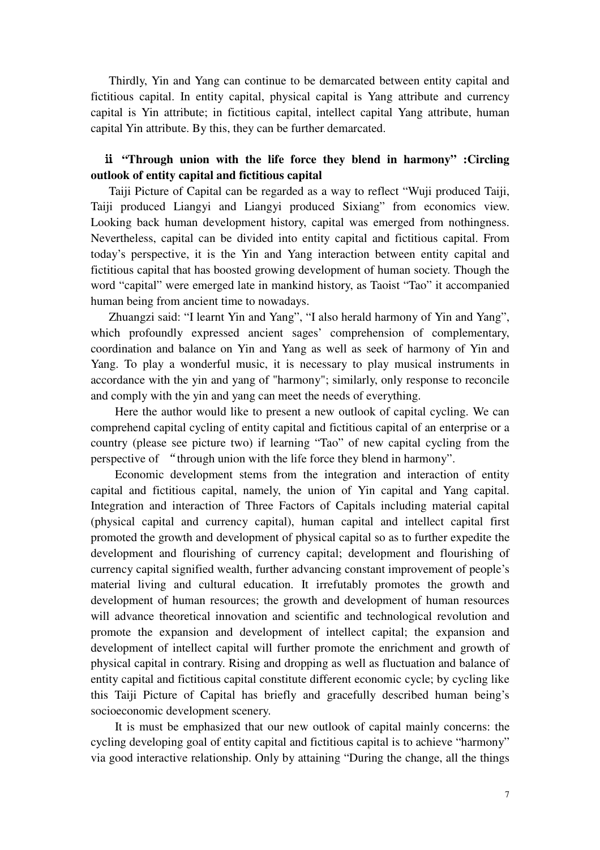Thirdly, Yin and Yang can continue to be demarcated between entity capital and fictitious capital. In entity capital, physical capital is Yang attribute and currency capital is Yin attribute; in fictitious capital, intellect capital Yang attribute, human capital Yin attribute. By this, they can be further demarcated.

#### ⅱ **"Through union with the life force they blend in harmony" :Circling outlook of entity capital and fictitious capital**

Taiji Picture of Capital can be regarded as a way to reflect "Wuji produced Taiji, Taiji produced Liangyi and Liangyi produced Sixiang" from economics view. Looking back human development history, capital was emerged from nothingness. Nevertheless, capital can be divided into entity capital and fictitious capital. From today's perspective, it is the Yin and Yang interaction between entity capital and fictitious capital that has boosted growing development of human society. Though the word "capital" were emerged late in mankind history, as Taoist "Tao" it accompanied human being from ancient time to nowadays.

 Zhuangzi said: "I learnt Yin and Yang", "I also herald harmony of Yin and Yang", which profoundly expressed ancient sages' comprehension of complementary, coordination and balance on Yin and Yang as well as seek of harmony of Yin and Yang. To play a wonderful music, it is necessary to play musical instruments in accordance with the yin and yang of "harmony"; similarly, only response to reconcile and comply with the yin and yang can meet the needs of everything.

Here the author would like to present a new outlook of capital cycling. We can comprehend capital cycling of entity capital and fictitious capital of an enterprise or a country (please see picture two) if learning "Tao" of new capital cycling from the perspective of "through union with the life force they blend in harmony".

Economic development stems from the integration and interaction of entity capital and fictitious capital, namely, the union of Yin capital and Yang capital. Integration and interaction of Three Factors of Capitals including material capital (physical capital and currency capital), human capital and intellect capital first promoted the growth and development of physical capital so as to further expedite the development and flourishing of currency capital; development and flourishing of currency capital signified wealth, further advancing constant improvement of people's material living and cultural education. It irrefutably promotes the growth and development of human resources; the growth and development of human resources will advance theoretical innovation and scientific and technological revolution and promote the expansion and development of intellect capital; the expansion and development of intellect capital will further promote the enrichment and growth of physical capital in contrary. Rising and dropping as well as fluctuation and balance of entity capital and fictitious capital constitute different economic cycle; by cycling like this Taiji Picture of Capital has briefly and gracefully described human being's socioeconomic development scenery.

It is must be emphasized that our new outlook of capital mainly concerns: the cycling developing goal of entity capital and fictitious capital is to achieve "harmony" via good interactive relationship. Only by attaining "During the change, all the things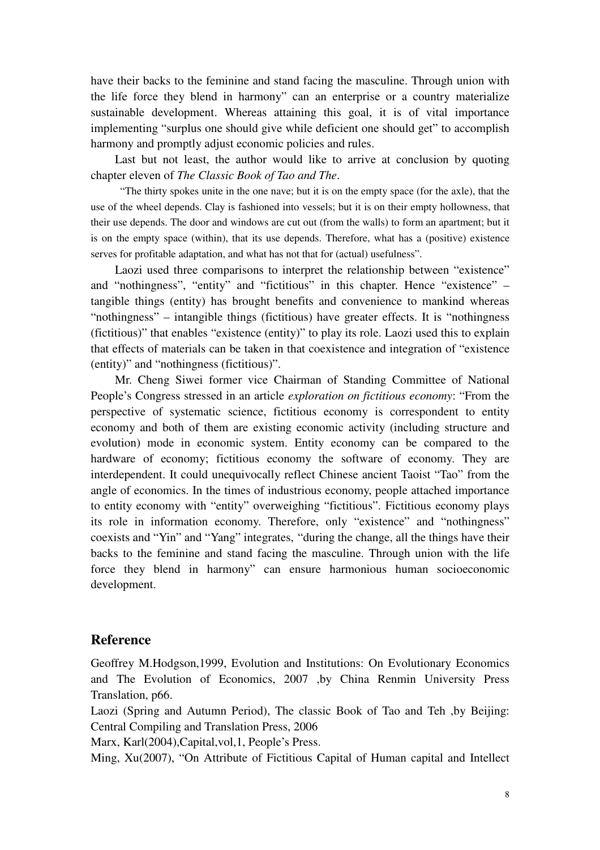have their backs to the feminine and stand facing the masculine. Through union with the life force they blend in harmony" can an enterprise or a country materialize sustainable development. Whereas attaining this goal, it is of vital importance implementing "surplus one should give while deficient one should get" to accomplish harmony and promptly adjust economic policies and rules.

Last but not least, the author would like to arrive at conclusion by quoting chapter eleven of *The Classic Book of Tao and The*.

 "The thirty spokes unite in the one nave; but it is on the empty space (for the axle), that the use of the wheel depends. Clay is fashioned into vessels; but it is on their empty hollowness, that their use depends. The door and windows are cut out (from the walls) to form an apartment; but it is on the empty space (within), that its use depends. Therefore, what has a (positive) existence serves for profitable adaptation, and what has not that for (actual) usefulness".

Laozi used three comparisons to interpret the relationship between "existence" and "nothingness", "entity" and "fictitious" in this chapter. Hence "existence" – tangible things (entity) has brought benefits and convenience to mankind whereas "nothingness" – intangible things (fictitious) have greater effects. It is "nothingness (fictitious)" that enables "existence (entity)" to play its role. Laozi used this to explain that effects of materials can be taken in that coexistence and integration of "existence (entity)" and "nothingness (fictitious)".

Mr. Cheng Siwei former vice Chairman of Standing Committee of National People's Congress stressed in an article *exploration on fictitious economy*: "From the perspective of systematic science, fictitious economy is correspondent to entity economy and both of them are existing economic activity (including structure and evolution) mode in economic system. Entity economy can be compared to the hardware of economy; fictitious economy the software of economy. They are interdependent. It could unequivocally reflect Chinese ancient Taoist "Tao" from the angle of economics. In the times of industrious economy, people attached importance to entity economy with "entity" overweighing "fictitious". Fictitious economy plays its role in information economy. Therefore, only "existence" and "nothingness" coexists and "Yin" and "Yang" integrates, "during the change, all the things have their backs to the feminine and stand facing the masculine. Through union with the life force they blend in harmony" can ensure harmonious human socioeconomic development.

#### **Reference**

Geoffrey M.Hodgson,1999, Evolution and Institutions: On Evolutionary Economics and The Evolution of Economics, 2007 ,by China Renmin University Press Translation, p66.

Laozi (Spring and Autumn Period), The classic Book of Tao and Teh ,by Beijing: Central Compiling and Translation Press, 2006

Marx, Karl(2004),Capital,vol,1, People's Press.

Ming, Xu(2007), "On Attribute of Fictitious Capital of Human capital and Intellect